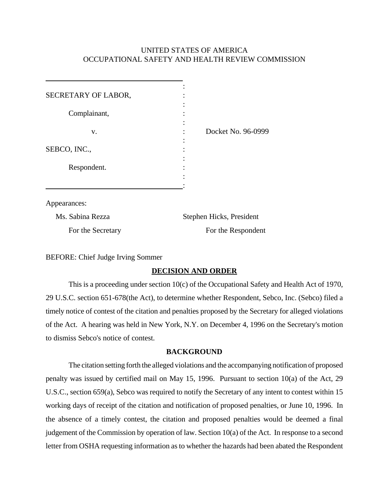# UNITED STATES OF AMERICA OCCUPATIONAL SAFETY AND HEALTH REVIEW COMMISSION

| SECRETARY OF LABOR, |                    |  |
|---------------------|--------------------|--|
| Complainant,        |                    |  |
| v.                  | Docket No. 96-0999 |  |
| SEBCO, INC.,        |                    |  |
| Respondent.         |                    |  |
|                     |                    |  |

Appearances:

| Ms. Sabina Rezza  | Stephen Hicks, President |
|-------------------|--------------------------|
| For the Secretary | For the Respondent       |

BEFORE: Chief Judge Irving Sommer

## **DECISION AND ORDER**

This is a proceeding under section 10(c) of the Occupational Safety and Health Act of 1970, 29 U.S.C. section 651-678(the Act), to determine whether Respondent, Sebco, Inc. (Sebco) filed a timely notice of contest of the citation and penalties proposed by the Secretary for alleged violations of the Act. A hearing was held in New York, N.Y. on December 4, 1996 on the Secretary's motion to dismiss Sebco's notice of contest.

## **BACKGROUND**

The citation setting forth the alleged violations and the accompanying notification of proposed penalty was issued by certified mail on May 15, 1996. Pursuant to section 10(a) of the Act, 29 U.S.C., section 659(a), Sebco was required to notify the Secretary of any intent to contest within 15 working days of receipt of the citation and notification of proposed penalties, or June 10, 1996. In the absence of a timely contest, the citation and proposed penalties would be deemed a final judgement of the Commission by operation of law. Section 10(a) of the Act. In response to a second letter from OSHA requesting information as to whether the hazards had been abated the Respondent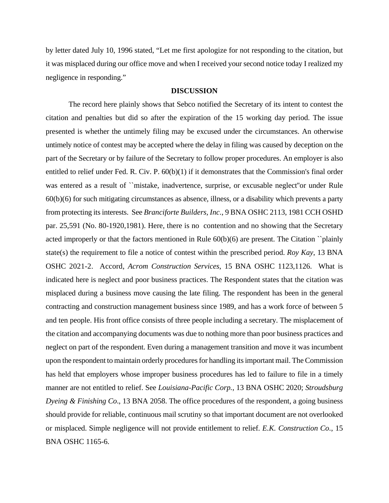by letter dated July 10, 1996 stated, "Let me first apologize for not responding to the citation, but it was misplaced during our office move and when I received your second notice today I realized my negligence in responding."

#### **DISCUSSION**

The record here plainly shows that Sebco notified the Secretary of its intent to contest the citation and penalties but did so after the expiration of the 15 working day period. The issue presented is whether the untimely filing may be excused under the circumstances. An otherwise untimely notice of contest may be accepted where the delay in filing was caused by deception on the part of the Secretary or by failure of the Secretary to follow proper procedures. An employer is also entitled to relief under Fed. R. Civ. P.  $60(b)(1)$  if it demonstrates that the Commission's final order was entered as a result of ``mistake, inadvertence, surprise, or excusable neglect''or under Rule 60(b)(6) for such mitigating circumstances as absence, illness, or a disability which prevents a party from protecting its interests. See *Branciforte Builders, Inc*., 9 BNA OSHC 2113, 1981 CCH OSHD par. 25,591 (No. 80-1920,1981). Here, there is no contention and no showing that the Secretary acted improperly or that the factors mentioned in Rule 60(b)(6) are present. The Citation ``plainly state(s) the requirement to file a notice of contest within the prescribed period. *Roy Kay*, 13 BNA OSHC 2021-2. Accord, *Acrom Construction Services*, 15 BNA OSHC 1123,1126. What is indicated here is neglect and poor business practices. The Respondent states that the citation was misplaced during a business move causing the late filing. The respondent has been in the general contracting and construction management business since 1989, and has a work force of between 5 and ten people. His front office consists of three people including a secretary. The misplacement of the citation and accompanying documents was due to nothing more than poor business practices and neglect on part of the respondent. Even during a management transition and move it was incumbent upon the respondent to maintain orderly procedures for handling its important mail. The Commission has held that employers whose improper business procedures has led to failure to file in a timely manner are not entitled to relief. See *Louisiana-Pacific Corp.*, 13 BNA OSHC 2020; *Stroudsburg Dyeing & Finishing Co*., 13 BNA 2058. The office procedures of the respondent, a going business should provide for reliable, continuous mail scrutiny so that important document are not overlooked or misplaced. Simple negligence will not provide entitlement to relief. *E.K. Construction Co*., 15 BNA OSHC 1165-6.